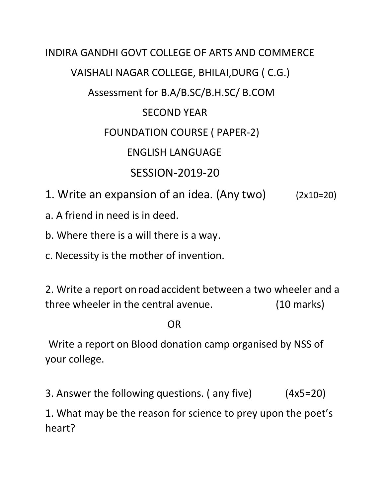## INDIRA GANDHI GOVT COLLEGE OF ARTS AND COMMERCE VAISHALI NAGAR COLLEGE, BHILAI,DURG ( C.G.) Assessment for B.A/B.SC/B.H.SC/ B.COM SECOND YEAR FOUNDATION COURSE ( PAPER-2) ENGLISH LANGUAGE SESSION-2019-20 1. Write an expansion of an idea. (Any two) (2x10=20)

- a. A friend in need is in deed.
- b. Where there is a will there is a way.
- c. Necessity is the mother of invention.

2. Write a report on roadaccident between a two wheeler and a three wheeler in the central avenue. (10 marks)

## **OR** Service Service Service Service Service Service Service Service Service Service Service Service Service Service Service Service Service Service Service Service Service Service Service Service Service Service Service S

 Write a report on Blood donation camp organised by NSS of your college.

3. Answer the following questions. ( any five) (4x5=20)

1. What may be the reason for science to prey upon the poet's heart?